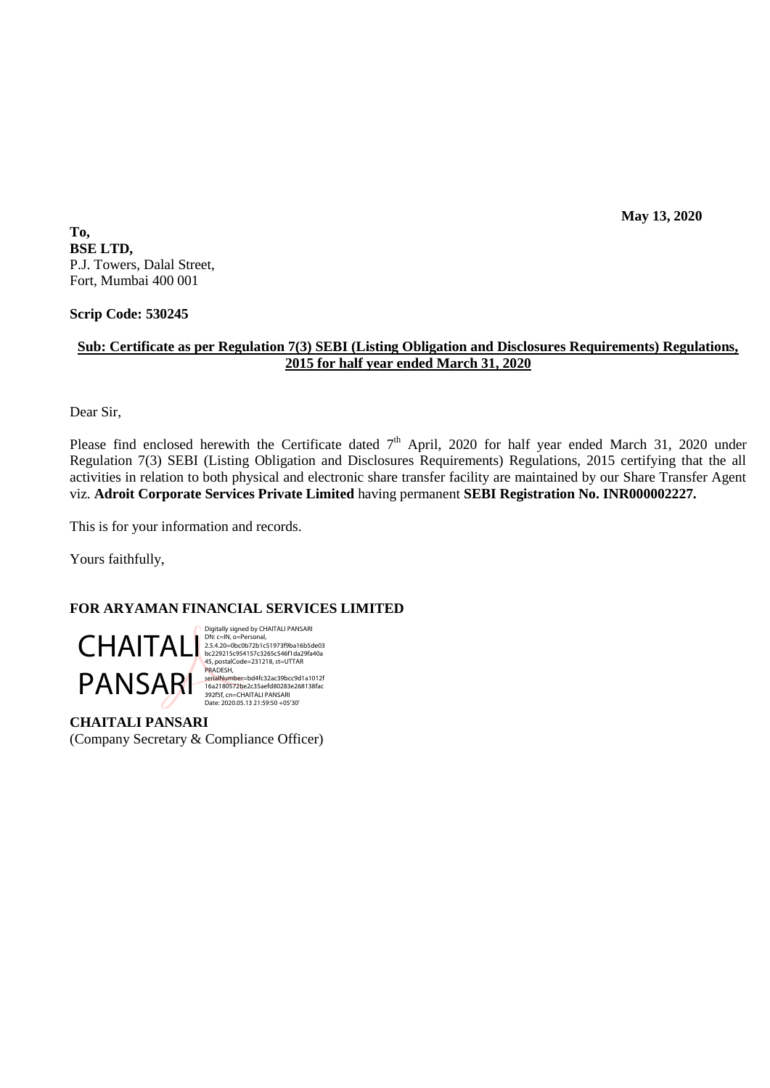**May 13, 2020**

**To, BSE LTD,** P.J. Towers, Dalal Street, Fort, Mumbai 400 001

**Scrip Code: 530245**

## **Sub: Certificate as per Regulation 7(3) SEBI (Listing Obligation and Disclosures Requirements) Regulations, 2015 for half year ended March 31, 2020**

Dear Sir,

Please find enclosed herewith the Certificate dated  $7<sup>th</sup>$  April, 2020 for half year ended March 31, 2020 under Regulation 7(3) SEBI (Listing Obligation and Disclosures Requirements) Regulations, 2015 certifying that the all activities in relation to both physical and electronic share transfer facility are maintained by our Share Transfer Agent viz. **Adroit Corporate Services Private Limited** having permanent **SEBI Registration No. INR000002227.**

This is for your information and records.

Yours faithfully,

## **FOR ARYAMAN FINANCIAL SERVICES LIMITED**



45, postalCode=231218, st=UTTAR 392f5f, cn=CHAITALI PANSARI Date: 2020.05.13 21:59:50 +05'30'

**CHAITALI PANSARI** (Company Secretary & Compliance Officer)